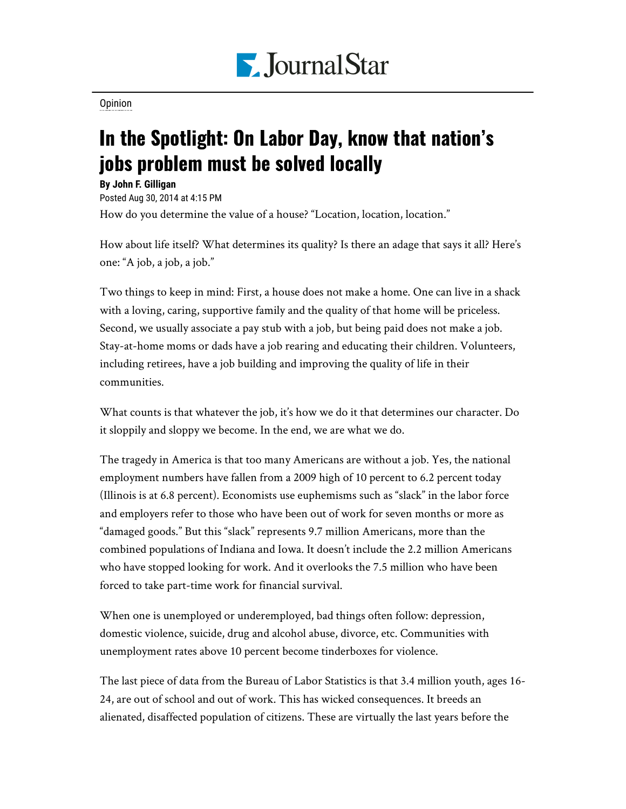

[Opinion](https://www.pjstar.com/search?text=Opinion)

## In the Spotlight: On Labor Day, know that nation's jobs problem must be solved locally

**By John F. Gilligan**

Posted Aug 30, 2014 at 4:15 PM

How do you determine the value of a house? "Location, location, location."

How about life itself? What determines its quality? Is there an adage that says it all? Here's one: "A job, a job, a job."

Two things to keep in mind: First, a house does not make a home. One can live in a shack with a loving, caring, supportive family and the quality of that home will be priceless. Second, we usually associate a pay stub with a job, but being paid does not make a job. Stay-at-home moms or dads have a job rearing and educating their children. Volunteers, including retirees, have a job building and improving the quality of life in their communities.

What counts is that whatever the job, it's how we do it that determines our character. Do it sloppily and sloppy we become. In the end, we are what we do.

The tragedy in America is that too many Americans are without a job. Yes, the national employment numbers have fallen from a 2009 high of 10 percent to 6.2 percent today (Illinois is at 6.8 percent). Economists use euphemisms such as "slack" in the labor force and employers refer to those who have been out of work for seven months or more as "damaged goods." But this "slack" represents 9.7 million Americans, more than the combined populations of Indiana and Iowa. It doesn't include the 2.2 million Americans who have stopped looking for work. And it overlooks the 7.5 million who have been forced to take part-time work for financial survival.

When one is unemployed or underemployed, bad things often follow: depression, domestic violence, suicide, drug and alcohol abuse, divorce, etc. Communities with unemployment rates above 10 percent become tinderboxes for violence.

The last piece of data from the Bureau of Labor Statistics is that 3.4 million youth, ages 16- 24, are out of school and out of work. This has wicked consequences. It breeds an alienated, disaffected population of citizens. These are virtually the last years before the